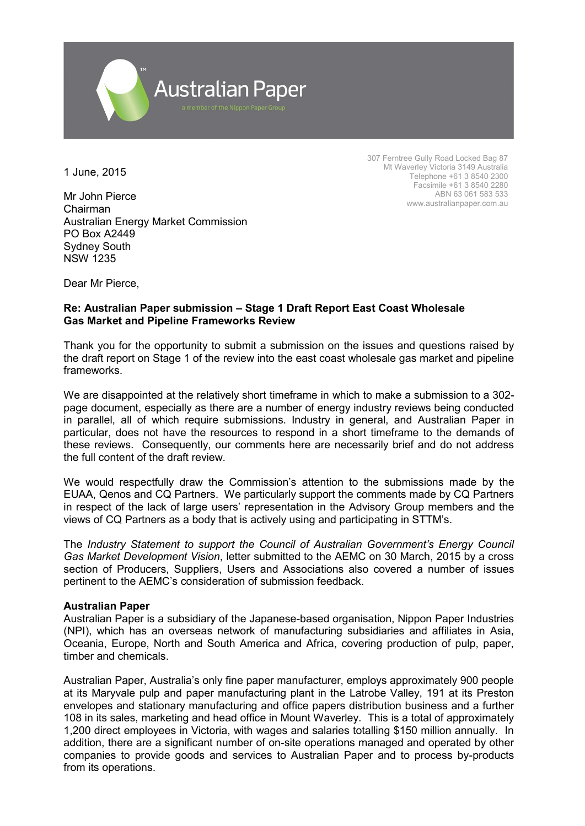

1 June, 2015

Mr John Pierce Chairman Australian Energy Market Commission PO Box A2449 Sydney South NSW 1235

307 Ferntree Gully Road Locked Bag 87 Mt Waverley Victoria 3149 Australia Telephone +61 3 8540 2300 Facsimile +61 3 8540 2280 ABN 63 061 583 533 www.australianpaper.com.au

Dear Mr Pierce,

# **Re: Australian Paper submission – Stage 1 Draft Report East Coast Wholesale Gas Market and Pipeline Frameworks Review**

Thank you for the opportunity to submit a submission on the issues and questions raised by the draft report on Stage 1 of the review into the east coast wholesale gas market and pipeline frameworks.

We are disappointed at the relatively short timeframe in which to make a submission to a 302 page document, especially as there are a number of energy industry reviews being conducted in parallel, all of which require submissions. Industry in general, and Australian Paper in particular, does not have the resources to respond in a short timeframe to the demands of these reviews. Consequently, our comments here are necessarily brief and do not address the full content of the draft review.

We would respectfully draw the Commission's attention to the submissions made by the EUAA, Qenos and CQ Partners. We particularly support the comments made by CQ Partners in respect of the lack of large users' representation in the Advisory Group members and the views of CQ Partners as a body that is actively using and participating in STTM's.

The *Industry Statement to support the Council of Australian Government's Energy Council Gas Market Development Vision*, letter submitted to the AEMC on 30 March, 2015 by a cross section of Producers, Suppliers, Users and Associations also covered a number of issues pertinent to the AEMC's consideration of submission feedback.

## **Australian Paper**

Australian Paper is a subsidiary of the Japanese-based organisation, Nippon Paper Industries (NPI), which has an overseas network of manufacturing subsidiaries and affiliates in Asia, Oceania, Europe, North and South America and Africa, covering production of pulp, paper, timber and chemicals.

Australian Paper, Australia's only fine paper manufacturer, employs approximately 900 people at its Maryvale pulp and paper manufacturing plant in the Latrobe Valley, 191 at its Preston envelopes and stationary manufacturing and office papers distribution business and a further 108 in its sales, marketing and head office in Mount Waverley. This is a total of approximately 1,200 direct employees in Victoria, with wages and salaries totalling \$150 million annually. In addition, there are a significant number of on-site operations managed and operated by other companies to provide goods and services to Australian Paper and to process by-products from its operations.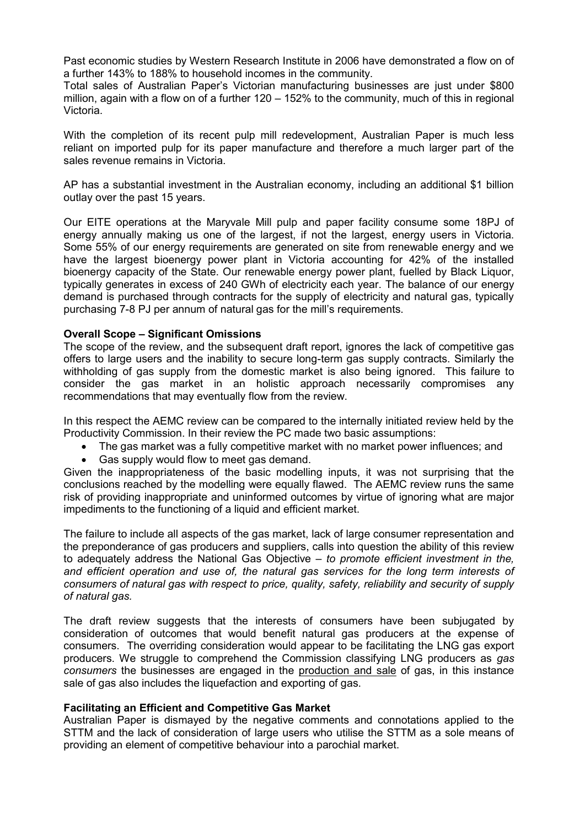Past economic studies by Western Research Institute in 2006 have demonstrated a flow on of a further 143% to 188% to household incomes in the community.

Total sales of Australian Paper's Victorian manufacturing businesses are just under \$800 million, again with a flow on of a further 120 – 152% to the community, much of this in regional Victoria.

With the completion of its recent pulp mill redevelopment. Australian Paper is much less reliant on imported pulp for its paper manufacture and therefore a much larger part of the sales revenue remains in Victoria.

AP has a substantial investment in the Australian economy, including an additional \$1 billion outlay over the past 15 years.

Our EITE operations at the Maryvale Mill pulp and paper facility consume some 18PJ of energy annually making us one of the largest, if not the largest, energy users in Victoria. Some 55% of our energy requirements are generated on site from renewable energy and we have the largest bioenergy power plant in Victoria accounting for 42% of the installed bioenergy capacity of the State. Our renewable energy power plant, fuelled by Black Liquor, typically generates in excess of 240 GWh of electricity each year. The balance of our energy demand is purchased through contracts for the supply of electricity and natural gas, typically purchasing 7-8 PJ per annum of natural gas for the mill's requirements.

## **Overall Scope – Significant Omissions**

The scope of the review, and the subsequent draft report, ignores the lack of competitive gas offers to large users and the inability to secure long-term gas supply contracts. Similarly the withholding of gas supply from the domestic market is also being ignored. This failure to consider the gas market in an holistic approach necessarily compromises any recommendations that may eventually flow from the review.

In this respect the AEMC review can be compared to the internally initiated review held by the Productivity Commission. In their review the PC made two basic assumptions:

- The gas market was a fully competitive market with no market power influences; and
- Gas supply would flow to meet gas demand.

Given the inappropriateness of the basic modelling inputs, it was not surprising that the conclusions reached by the modelling were equally flawed. The AEMC review runs the same risk of providing inappropriate and uninformed outcomes by virtue of ignoring what are major impediments to the functioning of a liquid and efficient market.

The failure to include all aspects of the gas market, lack of large consumer representation and the preponderance of gas producers and suppliers, calls into question the ability of this review to adequately address the National Gas Objective – *to promote efficient investment in the, and efficient operation and use of, the natural gas services for the long term interests of consumers of natural gas with respect to price, quality, safety, reliability and security of supply of natural gas.*

The draft review suggests that the interests of consumers have been subjugated by consideration of outcomes that would benefit natural gas producers at the expense of consumers. The overriding consideration would appear to be facilitating the LNG gas export producers. We struggle to comprehend the Commission classifying LNG producers as *gas consumers* the businesses are engaged in the production and sale of gas, in this instance sale of gas also includes the liquefaction and exporting of gas.

## **Facilitating an Efficient and Competitive Gas Market**

Australian Paper is dismayed by the negative comments and connotations applied to the STTM and the lack of consideration of large users who utilise the STTM as a sole means of providing an element of competitive behaviour into a parochial market.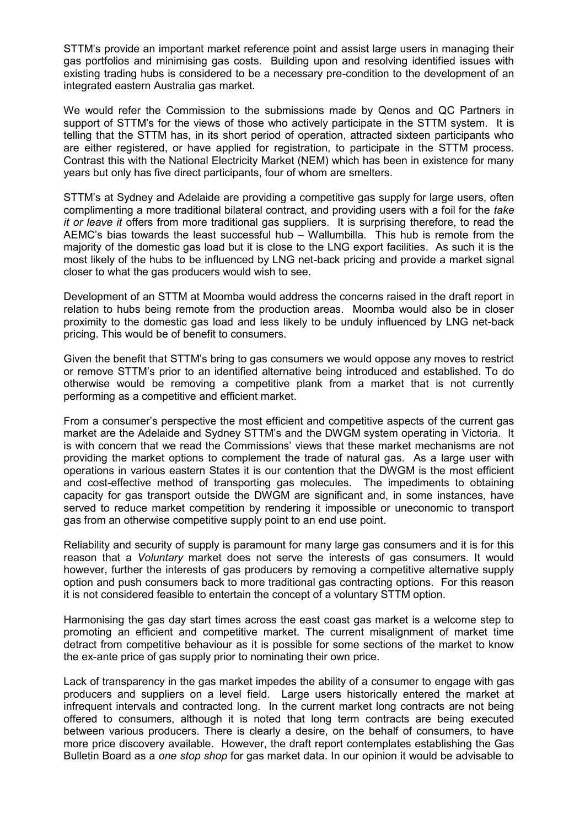STTM's provide an important market reference point and assist large users in managing their gas portfolios and minimising gas costs. Building upon and resolving identified issues with existing trading hubs is considered to be a necessary pre-condition to the development of an integrated eastern Australia gas market.

We would refer the Commission to the submissions made by Qenos and QC Partners in support of STTM's for the views of those who actively participate in the STTM system. It is telling that the STTM has, in its short period of operation, attracted sixteen participants who are either registered, or have applied for registration, to participate in the STTM process. Contrast this with the National Electricity Market (NEM) which has been in existence for many years but only has five direct participants, four of whom are smelters.

STTM's at Sydney and Adelaide are providing a competitive gas supply for large users, often complimenting a more traditional bilateral contract, and providing users with a foil for the *take it or leave it* offers from more traditional gas suppliers. It is surprising therefore, to read the AEMC's bias towards the least successful hub – Wallumbilla. This hub is remote from the majority of the domestic gas load but it is close to the LNG export facilities. As such it is the most likely of the hubs to be influenced by LNG net-back pricing and provide a market signal closer to what the gas producers would wish to see.

Development of an STTM at Moomba would address the concerns raised in the draft report in relation to hubs being remote from the production areas. Moomba would also be in closer proximity to the domestic gas load and less likely to be unduly influenced by LNG net-back pricing. This would be of benefit to consumers.

Given the benefit that STTM's bring to gas consumers we would oppose any moves to restrict or remove STTM's prior to an identified alternative being introduced and established. To do otherwise would be removing a competitive plank from a market that is not currently performing as a competitive and efficient market.

From a consumer's perspective the most efficient and competitive aspects of the current gas market are the Adelaide and Sydney STTM's and the DWGM system operating in Victoria. It is with concern that we read the Commissions' views that these market mechanisms are not providing the market options to complement the trade of natural gas. As a large user with operations in various eastern States it is our contention that the DWGM is the most efficient and cost-effective method of transporting gas molecules. The impediments to obtaining capacity for gas transport outside the DWGM are significant and, in some instances, have served to reduce market competition by rendering it impossible or uneconomic to transport gas from an otherwise competitive supply point to an end use point.

Reliability and security of supply is paramount for many large gas consumers and it is for this reason that a *Voluntary* market does not serve the interests of gas consumers. It would however, further the interests of gas producers by removing a competitive alternative supply option and push consumers back to more traditional gas contracting options. For this reason it is not considered feasible to entertain the concept of a voluntary STTM option.

Harmonising the gas day start times across the east coast gas market is a welcome step to promoting an efficient and competitive market. The current misalignment of market time detract from competitive behaviour as it is possible for some sections of the market to know the ex-ante price of gas supply prior to nominating their own price.

Lack of transparency in the gas market impedes the ability of a consumer to engage with gas producers and suppliers on a level field. Large users historically entered the market at infrequent intervals and contracted long. In the current market long contracts are not being offered to consumers, although it is noted that long term contracts are being executed between various producers. There is clearly a desire, on the behalf of consumers, to have more price discovery available. However, the draft report contemplates establishing the Gas Bulletin Board as a *one stop shop* for gas market data. In our opinion it would be advisable to